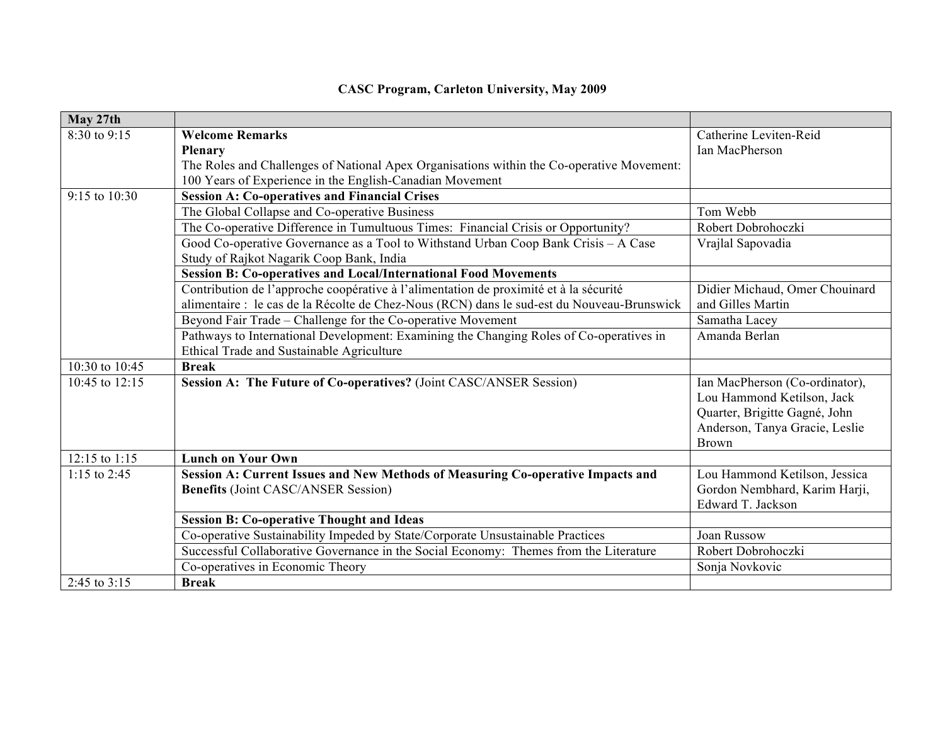| May 27th         |                                                                                            |                                |
|------------------|--------------------------------------------------------------------------------------------|--------------------------------|
| 8:30 to 9:15     | <b>Welcome Remarks</b>                                                                     | Catherine Leviten-Reid         |
|                  | <b>Plenary</b>                                                                             | Ian MacPherson                 |
|                  | The Roles and Challenges of National Apex Organisations within the Co-operative Movement:  |                                |
|                  | 100 Years of Experience in the English-Canadian Movement                                   |                                |
| 9:15 to 10:30    | <b>Session A: Co-operatives and Financial Crises</b>                                       |                                |
|                  | The Global Collapse and Co-operative Business                                              | Tom Webb                       |
|                  | The Co-operative Difference in Tumultuous Times: Financial Crisis or Opportunity?          | Robert Dobrohoczki             |
|                  | Good Co-operative Governance as a Tool to Withstand Urban Coop Bank Crisis - A Case        | Vrajlal Sapovadia              |
|                  | Study of Rajkot Nagarik Coop Bank, India                                                   |                                |
|                  | <b>Session B: Co-operatives and Local/International Food Movements</b>                     |                                |
|                  | Contribution de l'approche coopérative à l'alimentation de proximité et à la sécurité      | Didier Michaud, Omer Chouinard |
|                  | alimentaire : le cas de la Récolte de Chez-Nous (RCN) dans le sud-est du Nouveau-Brunswick | and Gilles Martin              |
|                  | Beyond Fair Trade – Challenge for the Co-operative Movement                                | Samatha Lacey                  |
|                  | Pathways to International Development: Examining the Changing Roles of Co-operatives in    | Amanda Berlan                  |
|                  | Ethical Trade and Sustainable Agriculture                                                  |                                |
| 10:30 to 10:45   | <b>Break</b>                                                                               |                                |
| 10:45 to $12:15$ | Session A: The Future of Co-operatives? (Joint CASC/ANSER Session)                         | Ian MacPherson (Co-ordinator), |
|                  |                                                                                            | Lou Hammond Ketilson, Jack     |
|                  |                                                                                            | Quarter, Brigitte Gagné, John  |
|                  |                                                                                            | Anderson, Tanya Gracie, Leslie |
|                  |                                                                                            | Brown                          |
| 12:15 to 1:15    | <b>Lunch on Your Own</b>                                                                   |                                |
| 1:15 to 2:45     | Session A: Current Issues and New Methods of Measuring Co-operative Impacts and            | Lou Hammond Ketilson, Jessica  |
|                  | <b>Benefits</b> (Joint CASC/ANSER Session)                                                 | Gordon Nembhard, Karim Harji,  |
|                  |                                                                                            | Edward T. Jackson              |
|                  | <b>Session B: Co-operative Thought and Ideas</b>                                           |                                |
|                  | Co-operative Sustainability Impeded by State/Corporate Unsustainable Practices             | Joan Russow                    |
|                  | Successful Collaborative Governance in the Social Economy: Themes from the Literature      | Robert Dobrohoczki             |
|                  | Co-operatives in Economic Theory                                                           | Sonja Novkovic                 |
| 2:45 to $3:15$   | <b>Break</b>                                                                               |                                |

## **CASC Program, Carleton University, May 2009**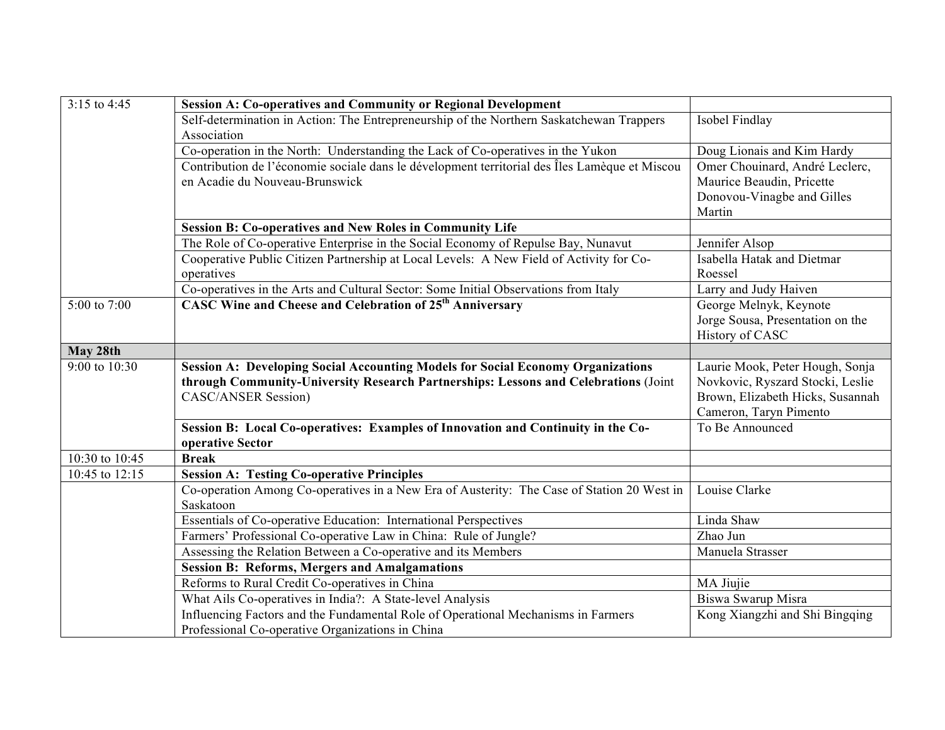| 3:15 to 4:45     | <b>Session A: Co-operatives and Community or Regional Development</b>                                                                 |                                  |
|------------------|---------------------------------------------------------------------------------------------------------------------------------------|----------------------------------|
|                  | Self-determination in Action: The Entrepreneurship of the Northern Saskatchewan Trappers                                              | Isobel Findlay                   |
|                  | Association                                                                                                                           |                                  |
|                  | Co-operation in the North: Understanding the Lack of Co-operatives in the Yukon                                                       | Doug Lionais and Kim Hardy       |
|                  | Contribution de l'économie sociale dans le dévelopment territorial des Îles Lamèque et Miscou                                         | Omer Chouinard, André Leclerc,   |
|                  | en Acadie du Nouveau-Brunswick                                                                                                        | Maurice Beaudin, Pricette        |
|                  |                                                                                                                                       | Donovou-Vinagbe and Gilles       |
|                  |                                                                                                                                       | Martin                           |
|                  | <b>Session B: Co-operatives and New Roles in Community Life</b>                                                                       |                                  |
|                  | The Role of Co-operative Enterprise in the Social Economy of Repulse Bay, Nunavut                                                     | Jennifer Alsop                   |
|                  | Cooperative Public Citizen Partnership at Local Levels: A New Field of Activity for Co-                                               | Isabella Hatak and Dietmar       |
|                  | operatives                                                                                                                            | Roessel                          |
|                  | Co-operatives in the Arts and Cultural Sector: Some Initial Observations from Italy                                                   | Larry and Judy Haiven            |
| $5:00$ to $7:00$ | CASC Wine and Cheese and Celebration of 25 <sup>th</sup> Anniversary                                                                  | George Melnyk, Keynote           |
|                  |                                                                                                                                       | Jorge Sousa, Presentation on the |
|                  |                                                                                                                                       | History of CASC                  |
| May 28th         |                                                                                                                                       |                                  |
| 9:00 to 10:30    | <b>Session A: Developing Social Accounting Models for Social Economy Organizations</b>                                                | Laurie Mook, Peter Hough, Sonja  |
|                  | through Community-University Research Partnerships: Lessons and Celebrations (Joint                                                   | Novkovic, Ryszard Stocki, Leslie |
|                  |                                                                                                                                       |                                  |
|                  | <b>CASC/ANSER Session)</b>                                                                                                            | Brown, Elizabeth Hicks, Susannah |
|                  |                                                                                                                                       | Cameron, Taryn Pimento           |
|                  | Session B: Local Co-operatives: Examples of Innovation and Continuity in the Co-                                                      | To Be Announced                  |
|                  | operative Sector                                                                                                                      |                                  |
| 10:30 to 10:45   | <b>Break</b>                                                                                                                          |                                  |
| 10:45 to 12:15   | <b>Session A: Testing Co-operative Principles</b>                                                                                     |                                  |
|                  | Co-operation Among Co-operatives in a New Era of Austerity: The Case of Station 20 West in                                            | Louise Clarke                    |
|                  | Saskatoon                                                                                                                             |                                  |
|                  | Essentials of Co-operative Education: International Perspectives                                                                      | Linda Shaw                       |
|                  | Farmers' Professional Co-operative Law in China: Rule of Jungle?                                                                      | Zhao Jun                         |
|                  | Assessing the Relation Between a Co-operative and its Members                                                                         | Manuela Strasser                 |
|                  | <b>Session B: Reforms, Mergers and Amalgamations</b>                                                                                  |                                  |
|                  | Reforms to Rural Credit Co-operatives in China                                                                                        | MA Jiujie                        |
|                  | What Ails Co-operatives in India?: A State-level Analysis                                                                             | Biswa Swarup Misra               |
|                  | Influencing Factors and the Fundamental Role of Operational Mechanisms in Farmers<br>Professional Co-operative Organizations in China | Kong Xiangzhi and Shi Bingqing   |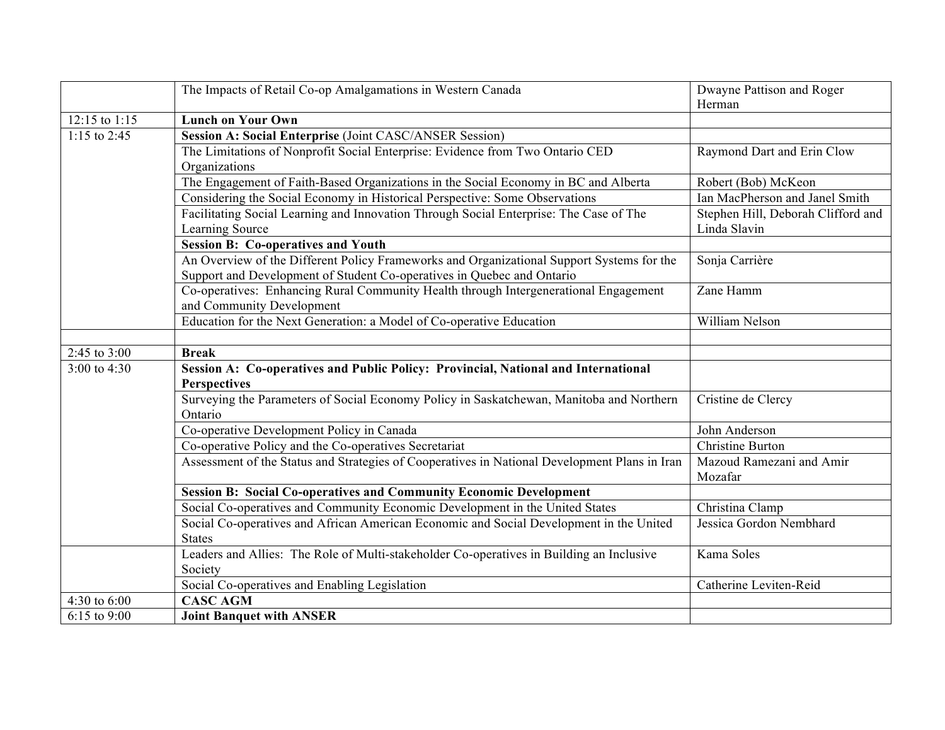|                   | The Impacts of Retail Co-op Amalgamations in Western Canada                                         | Dwayne Pattison and Roger          |
|-------------------|-----------------------------------------------------------------------------------------------------|------------------------------------|
|                   |                                                                                                     | Herman                             |
| $12:15$ to $1:15$ | <b>Lunch on Your Own</b>                                                                            |                                    |
| 1:15 to 2:45      | Session A: Social Enterprise (Joint CASC/ANSER Session)                                             |                                    |
|                   | The Limitations of Nonprofit Social Enterprise: Evidence from Two Ontario CED                       | Raymond Dart and Erin Clow         |
|                   | Organizations                                                                                       |                                    |
|                   | The Engagement of Faith-Based Organizations in the Social Economy in BC and Alberta                 | Robert (Bob) McKeon                |
|                   | Considering the Social Economy in Historical Perspective: Some Observations                         | Ian MacPherson and Janel Smith     |
|                   | Facilitating Social Learning and Innovation Through Social Enterprise: The Case of The              | Stephen Hill, Deborah Clifford and |
|                   | Learning Source                                                                                     | Linda Slavin                       |
|                   | <b>Session B: Co-operatives and Youth</b>                                                           |                                    |
|                   | An Overview of the Different Policy Frameworks and Organizational Support Systems for the           | Sonja Carrière                     |
|                   | Support and Development of Student Co-operatives in Quebec and Ontario                              |                                    |
|                   | Co-operatives: Enhancing Rural Community Health through Intergenerational Engagement                | Zane Hamm                          |
|                   | and Community Development                                                                           |                                    |
|                   | Education for the Next Generation: a Model of Co-operative Education                                | William Nelson                     |
|                   |                                                                                                     |                                    |
| 2:45 to 3:00      | <b>Break</b>                                                                                        |                                    |
| 3:00 to 4:30      | Session A: Co-operatives and Public Policy: Provincial, National and International                  |                                    |
|                   | <b>Perspectives</b>                                                                                 |                                    |
|                   | Surveying the Parameters of Social Economy Policy in Saskatchewan, Manitoba and Northern<br>Ontario | Cristine de Clercy                 |
|                   | Co-operative Development Policy in Canada                                                           | John Anderson                      |
|                   | Co-operative Policy and the Co-operatives Secretariat                                               | Christine Burton                   |
|                   | Assessment of the Status and Strategies of Cooperatives in National Development Plans in Iran       | Mazoud Ramezani and Amir           |
|                   |                                                                                                     | Mozafar                            |
|                   | <b>Session B: Social Co-operatives and Community Economic Development</b>                           |                                    |
|                   | Social Co-operatives and Community Economic Development in the United States                        | Christina Clamp                    |
|                   | Social Co-operatives and African American Economic and Social Development in the United             | Jessica Gordon Nembhard            |
|                   | <b>States</b>                                                                                       |                                    |
|                   | Leaders and Allies: The Role of Multi-stakeholder Co-operatives in Building an Inclusive            | Kama Soles                         |
|                   | Society                                                                                             |                                    |
|                   | Social Co-operatives and Enabling Legislation                                                       | Catherine Leviten-Reid             |
| 4:30 to 6:00      | <b>CASC AGM</b>                                                                                     |                                    |
| 6:15 to $9:00$    | <b>Joint Banquet with ANSER</b>                                                                     |                                    |